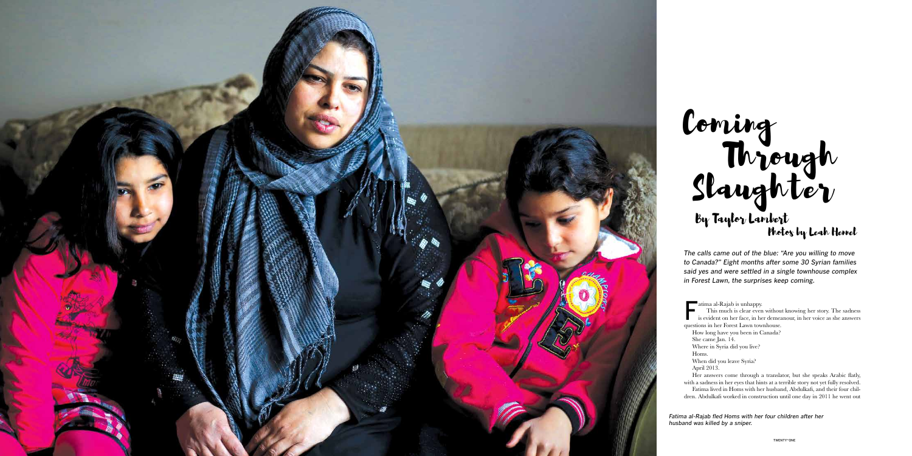

This much is clear even without knowing her story. The sadness is evident on her face, in her demeanour, in her voice as she answers questions in her Forest Lawn townhouse.

- How long have you been in Canada?
- She came Jan. 14.
- Where in Syria did you live?
- Homs.

When did you leave Syria?

April 2013.

Her answers come through a translator, but she speaks Arabic flatly, with a sadness in her eyes that hints at a terrible story not yet fully resolved.

Fatima lived in Homs with her husband, Abdulkafi, and their four chil dren. Abdulkafi worked in construction until one day in 2011 he went out

*The calls came out of the blue: "Are you willing to move to Canada?" Eight months after some 30 Syrian families said yes and were settled in a single townhouse complex in Forest Lawn, the surprises keep coming.*

That al-Rajab is unhappy.

## Coming Slaughter Through By Taylor Lambert Photos by Leah Hennel

*Fatima al-Rajab fled Homs with her four children after her husband was killed by a sniper.*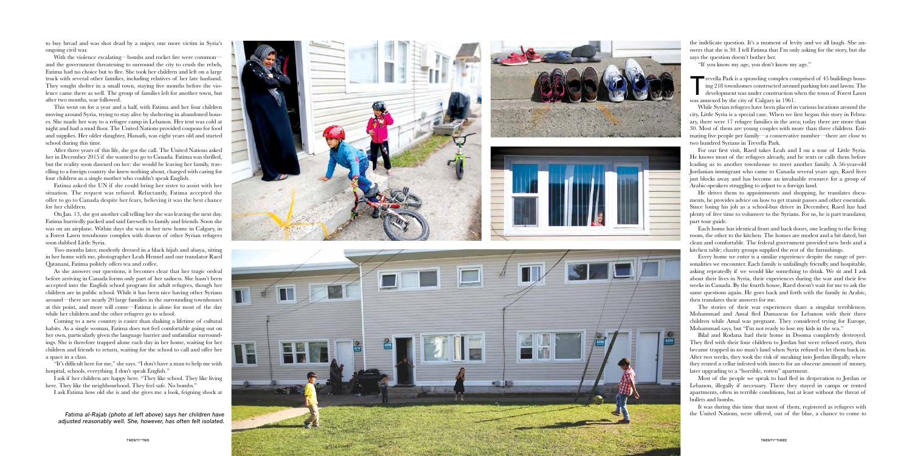to buy bread and was shot dead by a sniper, one more victim in Syria's ongoing civil war.

With the violence escalating—bombs and rocket fire were commonand the government threatening to surround the city to crush the rebels, Fatima had no choice but to flee. She took her children and left on a large truck with several other families, including relatives of her late husband. They sought shelter in a small town, staying five months before the violence came there as well. The group of families left for another town, but after two months, war followed.

This went on for a year and a half, with Fatima and her four children moving around Syria, trying to stay alive by sheltering in abandoned hous es. She made her way to a refugee camp in Lebanon. Her tent was cold at night and had a mud floor. The United Nations provided coupons for food and supplies. Her older daughter, Hanadi, was eight years old and started school during this time.

After three years of this life, she got the call. The United Nations asked her in December 2015 if she wanted to go to Canada. Fatima was thrilled, but the reality soon dawned on her: she would be leaving her family, trav elling to a foreign country she knew nothing about, charged with caring for four children as a single mother who couldn't speak English.

Fatima asked the UN if she could bring her sister to assist with her situation. The request was refused. Reluctantly, Fatima accepted the offer to go to Canada despite her fears, believing it was the best chance for her children.

I ask if her children are happy here. "They like school. They like living here. They like the neighbourhood. They feel safe. No bombs."

On Jan. 13, she got another call telling her she was leaving the next day. Fatima hurriedly packed and said farewells to family and friends. Soon she was on an airplane. Within days she was in her new home in Calgary, in a Forest Lawn townhouse complex with dozens of other Syrian refugees soon dubbed Little Syria.

Trevella Park is a sprawling complex comprised of 45 buildings hous-<br>ing 218 townhomes constructed around parking lots and lawns. The<br>development was under construction when the town of Forest Lawn ing 218 townhomes constructed around parking lots and lawns. The development was under construction when the town of Forest Lawn was annexed by the city of Calgary in 1961.

Two months later, modestly dressed in a black hijab and abaya, sitting in her home with me, photographer Leah Hennel and our translator Raed Qatanani, Fatima politely offers tea and coffee.

As she answers our questions, it becomes clear that her tragic ordeal before arriving in Canada forms only part of her sadness. She hasn't been accepted into the English school program for adult refugees, though her children are in public school. While it has been nice having other Syrians around—there are nearly 20 large families in the surrounding townhouses at this point, and more will come—Fatima is alone for most of the day while her children and the other refugees go to school.

He drives them to appointments and shopping, he translates documents, he provides advice on how to get transit passes and other essentials. Since losing his job as a school-bus driver in December, Raed has had plenty of free time to volunteer to the Syrians. For us, he is part translator, part tour guide.

Coming to a new country is easier than shaking a lifetime of cultural habits. As a single woman, Fatima does not feel comfortable going out on her own, particularly given the language barrier and unfamiliar surround ings. She is therefore trapped alone each day in her home, waiting for her children and friends to return, waiting for the school to call and offer her a space in a class.

"It's difficult here for me," she says. "I don't have a man to help me with hospital, schools, everything. I don't speak English."

I ask Fatima how old she is and she gives me a look, feigning shock at







the indelicate question. It's a moment of levity and we all laugh. She an swers that she is 30. I tell Fatima that I'm only asking for the story, but she says the question doesn't bother her.

"If you know my age, you don't know my age."

While Syrian refugees have been placed in various locations around the city, Little Syria is a special case. When we first began this story in Febru ary, there were 17 refugee families in the area; today there are more than 30. Most of them are young couples with more than three children. Esti mating five people per family—a conservative number—there are close to two hundred Syrians in Trevella Park.

For our first visit, Raed takes Leah and I on a tour of Little Syria. He knows most of the refugees already, and he texts or calls them before leading us to another townhouse to meet another family. A 56-year-old Jordanian immigrant who came to Canada several years ago, Raed lives just blocks away and has become an invaluable resource for a group of Arabic-speakers struggling to adjust to a foreign land.

Each home has identical front and back doors, one leading to the living room, the other to the kitchen. The homes are modest and a bit dated, but clean and comfortable. The federal government provided new beds and a kitchen table; charity groups supplied the rest of the furnishings.

Every home we enter is a similar experience despite the range of per sonalities we encounter. Each family is unfailingly friendly and hospitable, asking repeatedly if we would like something to drink. We sit and I ask about their lives in Syria, their experiences during the war and their few weeks in Canada. By the fourth house, Raed doesn't wait for me to ask the same questions again. He goes back and forth with the family in Arabic, then translates their answers for me.

The stories of their war experiences share a singular terribleness. Mohammad and Amal fled Damascus for Lebanon with their three children while Amal was pregnant. They considered trying for Europe, Mohammad says, but "I'm not ready to lose my kids in the sea."

Bilal and Rodana had their home in Dooma completely destroyed. They fled with their four children to Jordan but were refused entry, then became trapped in no man's land when Syria refused to let them back in. After two weeks, they took the risk of sneaking into Jordan illegally, where they rented a cellar infested with insects for an obscene amount of money, later upgrading to a "horrible, rotten" apartment.

Most of the people we speak to had fled in desperation to Jordan or Lebanon, illegally if necessary. There they stayed in camps or rented apartments, often in terrible conditions, but at least without the threat of bullets and bombs.

It was during this time that most of them, registered as refugees with

*adjusted reasonably well. She, however, has often felt isolated.*

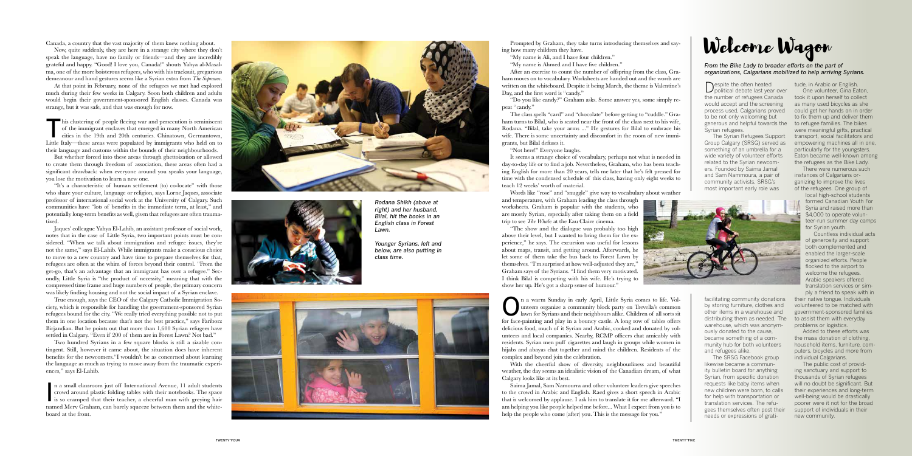Canada, a country that the vast majority of them knew nothing about.

Now, quite suddenly, they are here in a strange city where they don't speak the language, have no family or friends—and they are incredibly grateful and happy. "Good! I love you, Canada!" shouts Yahya al-Masal ma, one of the more boisterous refugees, who with his tracksuit, gregarious demeanour and hand gestures seems like a Syrian extra from *The Sopranos* .

This clustering of people fleeing war and persecution is reminiscent of the immigrant enclaves that emerged in many North American cities in the 19th and 20th centuries. Chinatown, Germantown, of the immigrant enclaves that emerged in many North American Little Italy—these areas were populated by immigrants who held on to their language and customs within the bounds of their neighbourhoods.

At that point in February, none of the refugees we met had explored much during their few weeks in Calgary. Soon both children and adults would begin their government-sponsored English classes. Canada was strange, but it was safe, and that was enough for now.

But whether forced into these areas through ghettoization or allowed to create them through freedom of association, these areas often had a significant drawback: when everyone around you speaks your language, you lose the motivation to learn a new one.

"It's a characteristic of human settlement (to) co-locate" with those who share your culture, language or religion, says Lorne Jaques, associate professor of international social work at the University of Calgary. Such communities have "lots of benefits in the immediate term, at least," and potentially long-term benefits as well, given that refugees are often trauma tized.

n a small classroom just off International Avenue, 11 adult students<br>crowd around plastic folding tables with their notebooks. The space<br>is so cramped that their teacher, a cheerful man with greying hair n a small classroom just off International Avenue, 11 adult students crowd around plastic folding tables with their notebooks. The space named Merv Graham, can barely squeeze between them and the white board at the front.



Despite the often heated<br>political debate last year over the number of refugees Canada would accept and the screening process used, Calgarians proved could get her hands on in order to be not only welcoming but generous and helpful towards the to refugee families. The bikes Syrian refugees.

Jaques' colleague Yahya El-Lahib, an assistant professor of social work, notes that in the case of Little Syria, two important points must be con sidered. "When we talk about immigration and refugee issues, they're not the same," says El-Lahib. While immigrants make a conscious choice to move to a new country and have time to prepare themselves for that, refugees are often at the whim of forces beyond their control. "From the get-go, that's an advantage that an immigrant has over a refugee." Sec ondly, Little Syria is "the product of necessity," meaning that with the compressed time frame and huge numbers of people, the primary concern was likely finding housing and not the social impact of a Syrian enclave.

True enough, says the CEO of the Calgary Catholic Immigration So ciety, which is responsible for handling the government-sponsored Syrian refugees bound for the city. "We really tried everything possible not to put them in one location because that's not the best practice," says Fariborz Birjandian. But he points out that more than 1,600 Syrian refugees have settled in Calgary. "Even if 200 of them are in Forest Lawn? Not bad."

Two hundred Syrians in a few square blocks is still a sizable con tingent. Still, however it came about, the situation does have inherent benefits for the newcomers."I wouldn't be as concerned about learning the language as much as trying to move away from the traumatic experi ences," says El-Lahib.

The Syrian Refugees Support Group Calgary (SRSG) served as something of an umbrella for a wide variety of volunteer efforts related to the Syrian newcomers. Founded by Saima Jamal and Sam Nammoura, a pair of community activists, SRSG's most important early role was

facilitating community donations by storing furniture, clothes and other items in a warehouse and

warehouse, which was anonymously donated to the cause, became something of a community hub for both volunteers

and refugees alike.

n a warm Sunday in early April, Little Syria comes to life. Voluments organize a community block party on Trevella's common lawn for Syrians and their neighbours alike. Children of all sorts sit unteers organize a community block party on Trevella's common lawn for Syrians and their neighbours alike. Children of all sorts sit for face-painting and play in a bouncy castle. A long row of tables offers delicious food, much of it Syrian and Arabic, cooked and donated by vol unteers and local companies. Nearby, RCMP officers chat amicably with residents. Syrian men puff cigarettes and laugh in groups while women in hijabs and abayas chat together and mind the children. Residents of the complex and beyond join the celebration.

The SRSG Facebook group likewise became a community bulletin board for anything Syrian, from specific donation requests like baby items when new children were born, to calls for help with transportation or translation services. The refugees themselves often post their needs or expressions of grati-

Saima Jamal, Sam Namourra and other volunteer leaders give speeches to the crowd in Arabic and English. Raed gives a short speech in Arabic that is welcomed by applause. I ask him to translate it for me afterward. "I am helping you like people helped me before... What I expect from you is to help the people who come (after) you. This is the message for you."

## Prompted by Graham, they take turns introducing themselves and say-<br>how many children they have.

tude, in Arabic or English. One volunteer, Gina Eaton,

took it upon herself to collect as many used bicycles as she to fix them up and deliver them were meaningful gifts, practical transport, social facilitators and empowering machines all in one, particularly for the youngsters. Eaton became well-known among the refugees as the Bike Lady.

distributing them as needed. The to assist them with everyday their native tongue. Individuals volunteered to be matched with government-sponsored families problems or logistics.

There were numerous such instances of Calgarians organizing to improve the lives of the refugees. One group of

local high-school students formed Canadian Youth For Syria and raised more than \$4,000 to operate volunteer-run summer day camps for Syrian youth.

Countless individual acts of generosity and support both complemented and enabled the larger-scale organized efforts. People flocked to the airport to welcome the refugees. Arabic speakers offered translation services or simply a friend to speak with in

Added to these efforts was the mass donation of clothing, household items, furniture, computers, bicycles and more from individual Calgarians.

The public cost of providing sanctuary and support to thousands of Syrian refugees will no doubt be significant. But their experiences and long-term well-being would be drastically poorer were it not for the broad support of individuals in their new community.



ing how many children they have.

"My name is Ali, and I have four children."

"My name is Ahmed and I have five children."

After an exercise to count the number of offspring from the class, Gra ham moves on to vocabulary. Worksheets are handed out and the words are written on the whiteboard. Despite it being March, the theme is Valentine's Day, and the first word is "candy."

"Do you like candy?" Graham asks. Some answer yes, some simply re peat "candy."

The class spells "card" and "chocolate" before getting to "cuddle." Gra ham turns to Bilal, who is seated near the front of the class next to his wife, Rodana. "Bilal, take your arms ..." He gestures for Bilal to embrace his wife. There is some uncertainty and discomfort in the room of new immigrants, but Bilal defuses it.

"Not here!" Everyone laughs.

It seems a strange choice of vocabulary, perhaps not what is needed in day-to-day life or to find a job. Nevertheless, Graham, who has been teach ing English for more than 20 years, tells me later that he's felt pressed for time with the condensed schedule of this class, having only eight weeks to teach 12 weeks' worth of material.

Words like "rose" and "snuggle" give way to vocabulary about weather

and temperature, with Graham leading the class through worksheets. Graham is popular with the students, who are mostly Syrian, especially after taking them on a field trip to see *The Whal*e at the Eau Claire cinema.

"The show and the dialogue was probably too high above their level, but I wanted to bring them for the experience," he says. The excursion was useful for lessons about maps, transit, and getting around. Afterwards, he let some of them take the bus back to Forest Lawn by themselves. "I'm surprised at how well-adjusted they are," Graham says of the Syrians. "I find them very motivated. I think Bilal is competing with his wife. He's trying to show her up. He's got a sharp sense of humour."

With the cheerful show of diversity, neighbourliness and beautiful weather, the day seems an idealistic vision of the Canadian dream, of what Calgary looks like at its best.



*Rodana Shikh (above at right) and her husband, Bilal, hit the books in an English class in Forest Lawn.*

*Younger Syrians, left and below, are also putting in class time.*





*From the Bike Lady to broader efforts on the part of organizations, Calgarians mobilized to help arriving Syrians.*